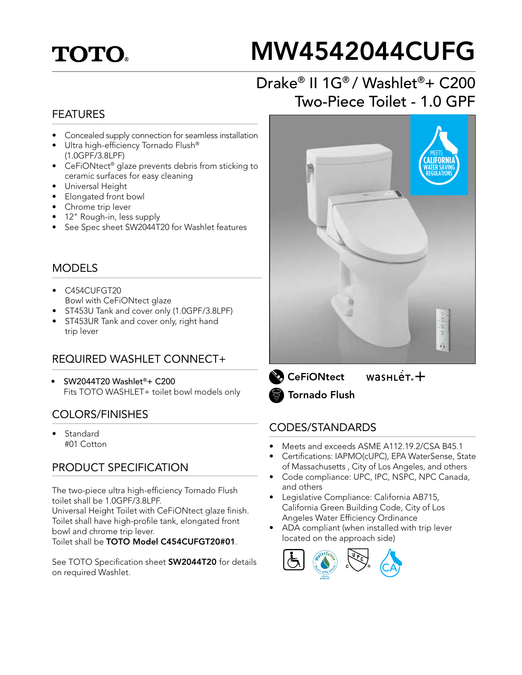# **TOTO**

# MW4542044CUFG

## Drake® II 1G® / Washlet®+ C200 Two-Piece Toilet - 1.0 GPF

#### FEATURES

- Concealed supply connection for seamless installation
- Ultra high-efficiency Tornado Flush® (1.0GPF/3.8LPF)
- CeFiONtect® glaze prevents debris from sticking to ceramic surfaces for easy cleaning
- Universal Height
- Elongated front bowl
- Chrome trip lever
- 12" Rough-in, less supply
- See Spec sheet SW2044T20 for Washlet features

#### MODELS

- C454CUFGT20 Bowl with CeFiONtect glaze
- ST453U Tank and cover only (1.0GPF/3.8LPF)
- ST453UR Tank and cover only, right hand trip lever

#### REQUIRED WASHLET CONNECT+

• SW2044T20 Washlet®+ C200 Fits TOTO WASHLET+ toilet bowl models only

#### COLORS/FINISHES

**Standard** #01 Cotton

#### PRODUCT SPECIFICATION

The two-piece ultra high-efficiency Tornado Flush toilet shall be 1.0GPF/3.8LPF. Universal Height Toilet with CeFiONtect glaze finish.

Toilet shall have high-profile tank, elongated front bowl and chrome trip lever. Toilet shall be TOTO Model C454CUFGT20#01.

See TOTO Specification sheet **SW2044T20** for details on required Washlet.



 $wasnLér +$ **CeFiONtect** Tornado Flush

#### CODES/STANDARDS

- Meets and exceeds ASME A112.19.2/CSA B45.1
- Certifications: IAPMO(cUPC), EPA WaterSense, State of Massachusetts , City of Los Angeles, and others
- Code compliance: UPC, IPC, NSPC, NPC Canada, and others
- Legislative Compliance: California AB715, California Green Building Code, City of Los Angeles Water Efficiency Ordinance
- ADA compliant (when installed with trip lever located on the approach side)